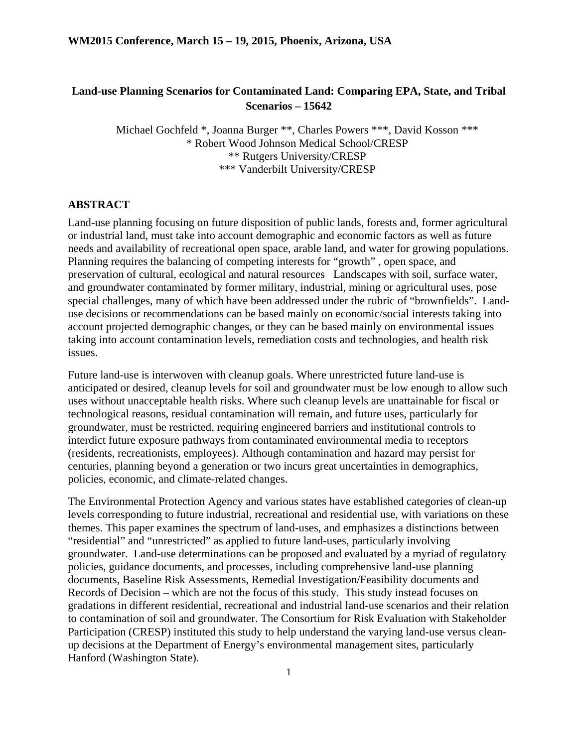## **Land-use Planning Scenarios for Contaminated Land: Comparing EPA, State, and Tribal Scenarios – 15642**

Michael Gochfeld \*, Joanna Burger \*\*, Charles Powers \*\*\*, David Kosson \*\*\* \* Robert Wood Johnson Medical School/CRESP \*\* Rutgers University/CRESP \*\*\* Vanderbilt University/CRESP

#### **ABSTRACT**

Land-use planning focusing on future disposition of public lands, forests and, former agricultural or industrial land, must take into account demographic and economic factors as well as future needs and availability of recreational open space, arable land, and water for growing populations. Planning requires the balancing of competing interests for "growth" , open space, and preservation of cultural, ecological and natural resources Landscapes with soil, surface water, and groundwater contaminated by former military, industrial, mining or agricultural uses, pose special challenges, many of which have been addressed under the rubric of "brownfields". Landuse decisions or recommendations can be based mainly on economic/social interests taking into account projected demographic changes, or they can be based mainly on environmental issues taking into account contamination levels, remediation costs and technologies, and health risk issues.

Future land-use is interwoven with cleanup goals. Where unrestricted future land-use is anticipated or desired, cleanup levels for soil and groundwater must be low enough to allow such uses without unacceptable health risks. Where such cleanup levels are unattainable for fiscal or technological reasons, residual contamination will remain, and future uses, particularly for groundwater, must be restricted, requiring engineered barriers and institutional controls to interdict future exposure pathways from contaminated environmental media to receptors (residents, recreationists, employees). Although contamination and hazard may persist for centuries, planning beyond a generation or two incurs great uncertainties in demographics, policies, economic, and climate-related changes.

The Environmental Protection Agency and various states have established categories of clean-up levels corresponding to future industrial, recreational and residential use, with variations on these themes. This paper examines the spectrum of land-uses, and emphasizes a distinctions between "residential" and "unrestricted" as applied to future land-uses, particularly involving groundwater. Land-use determinations can be proposed and evaluated by a myriad of regulatory policies, guidance documents, and processes, including comprehensive land-use planning documents, Baseline Risk Assessments, Remedial Investigation/Feasibility documents and Records of Decision – which are not the focus of this study. This study instead focuses on gradations in different residential, recreational and industrial land-use scenarios and their relation to contamination of soil and groundwater. The Consortium for Risk Evaluation with Stakeholder Participation (CRESP) instituted this study to help understand the varying land-use versus cleanup decisions at the Department of Energy's environmental management sites, particularly Hanford (Washington State).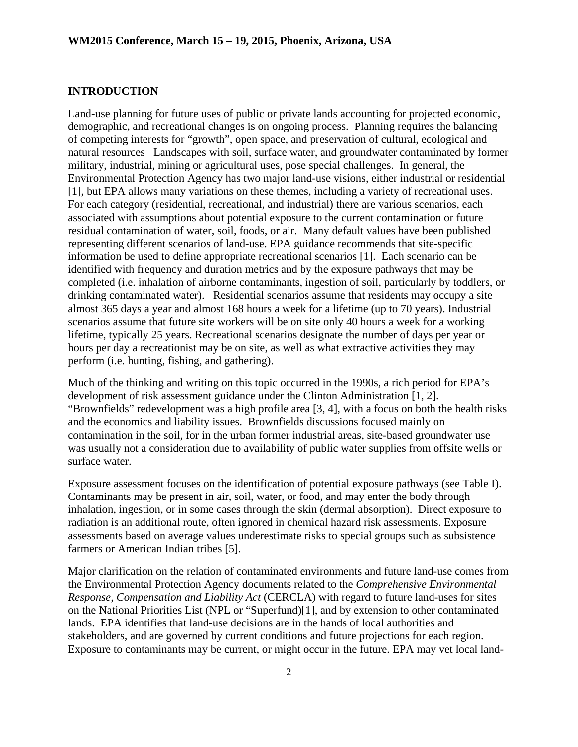#### **INTRODUCTION**

Land-use planning for future uses of public or private lands accounting for projected economic, demographic, and recreational changes is on ongoing process. Planning requires the balancing of competing interests for "growth", open space, and preservation of cultural, ecological and natural resources Landscapes with soil, surface water, and groundwater contaminated by former military, industrial, mining or agricultural uses, pose special challenges. In general, the Environmental Protection Agency has two major land-use visions, either industrial or residential [1], but EPA allows many variations on these themes, including a variety of recreational uses. For each category (residential, recreational, and industrial) there are various scenarios, each associated with assumptions about potential exposure to the current contamination or future residual contamination of water, soil, foods, or air. Many default values have been published representing different scenarios of land-use. EPA guidance recommends that site-specific information be used to define appropriate recreational scenarios [1]. Each scenario can be identified with frequency and duration metrics and by the exposure pathways that may be completed (i.e. inhalation of airborne contaminants, ingestion of soil, particularly by toddlers, or drinking contaminated water). Residential scenarios assume that residents may occupy a site almost 365 days a year and almost 168 hours a week for a lifetime (up to 70 years). Industrial scenarios assume that future site workers will be on site only 40 hours a week for a working lifetime, typically 25 years. Recreational scenarios designate the number of days per year or hours per day a recreationist may be on site, as well as what extractive activities they may perform (i.e. hunting, fishing, and gathering).

Much of the thinking and writing on this topic occurred in the 1990s, a rich period for EPA's development of risk assessment guidance under the Clinton Administration [1, 2]. "Brownfields" redevelopment was a high profile area [3, 4], with a focus on both the health risks and the economics and liability issues. Brownfields discussions focused mainly on contamination in the soil, for in the urban former industrial areas, site-based groundwater use was usually not a consideration due to availability of public water supplies from offsite wells or surface water.

Exposure assessment focuses on the identification of potential exposure pathways (see Table I). Contaminants may be present in air, soil, water, or food, and may enter the body through inhalation, ingestion, or in some cases through the skin (dermal absorption). Direct exposure to radiation is an additional route, often ignored in chemical hazard risk assessments. Exposure assessments based on average values underestimate risks to special groups such as subsistence farmers or American Indian tribes [5].

Major clarification on the relation of contaminated environments and future land-use comes from the Environmental Protection Agency documents related to the *Comprehensive Environmental Response, Compensation and Liability Act* (CERCLA) with regard to future land-uses for sites on the National Priorities List (NPL or "Superfund)[1], and by extension to other contaminated lands. EPA identifies that land-use decisions are in the hands of local authorities and stakeholders, and are governed by current conditions and future projections for each region. Exposure to contaminants may be current, or might occur in the future. EPA may vet local land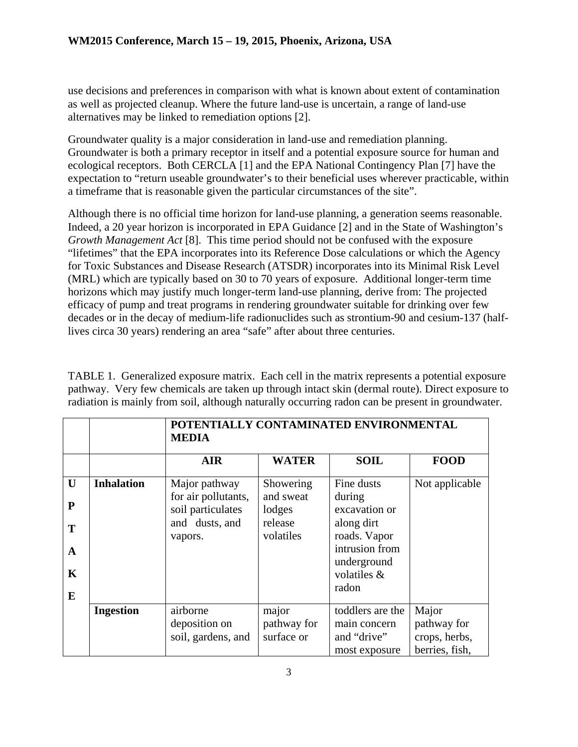use decisions and preferences in comparison with what is known about extent of contamination as well as projected cleanup. Where the future land-use is uncertain, a range of land-use alternatives may be linked to remediation options [2].

Groundwater quality is a major consideration in land-use and remediation planning. Groundwater is both a primary receptor in itself and a potential exposure source for human and ecological receptors. Both CERCLA [1] and the EPA National Contingency Plan [7] have the expectation to "return useable groundwater's to their beneficial uses wherever practicable, within a timeframe that is reasonable given the particular circumstances of the site".

Although there is no official time horizon for land-use planning, a generation seems reasonable. Indeed, a 20 year horizon is incorporated in EPA Guidance [2] and in the State of Washington's *Growth Management Act* [8].This time period should not be confused with the exposure "lifetimes" that the EPA incorporates into its Reference Dose calculations or which the Agency for Toxic Substances and Disease Research (ATSDR) incorporates into its Minimal Risk Level (MRL) which are typically based on 30 to 70 years of exposure. Additional longer-term time horizons which may justify much longer-term land-use planning, derive from: The projected efficacy of pump and treat programs in rendering groundwater suitable for drinking over few decades or in the decay of medium-life radionuclides such as strontium-90 and cesium-137 (halflives circa 30 years) rendering an area "safe" after about three centuries.

TABLE 1. Generalized exposure matrix. Each cell in the matrix represents a potential exposure pathway. Very few chemicals are taken up through intact skin (dermal route). Direct exposure to radiation is mainly from soil, although naturally occurring radon can be present in groundwater.

|                                                 |                   | POTENTIALLY CONTAMINATED ENVIRONMENTAL<br><b>MEDIA</b>                                 |                                                          |                                                                                                                              |                                                         |
|-------------------------------------------------|-------------------|----------------------------------------------------------------------------------------|----------------------------------------------------------|------------------------------------------------------------------------------------------------------------------------------|---------------------------------------------------------|
|                                                 |                   | <b>AIR</b>                                                                             | <b>WATER</b>                                             | <b>SOIL</b>                                                                                                                  | <b>FOOD</b>                                             |
| U<br>$\mathbf{P}$<br>T<br>A<br>$\mathbf K$<br>E | <b>Inhalation</b> | Major pathway<br>for air pollutants,<br>soil particulates<br>and dusts, and<br>vapors. | Showering<br>and sweat<br>lodges<br>release<br>volatiles | Fine dusts<br>during<br>excavation or<br>along dirt<br>roads. Vapor<br>intrusion from<br>underground<br>volatiles &<br>radon | Not applicable                                          |
|                                                 | <b>Ingestion</b>  | airborne<br>deposition on<br>soil, gardens, and                                        | major<br>pathway for<br>surface or                       | toddlers are the<br>main concern<br>and "drive"<br>most exposure                                                             | Major<br>pathway for<br>crops, herbs,<br>berries, fish, |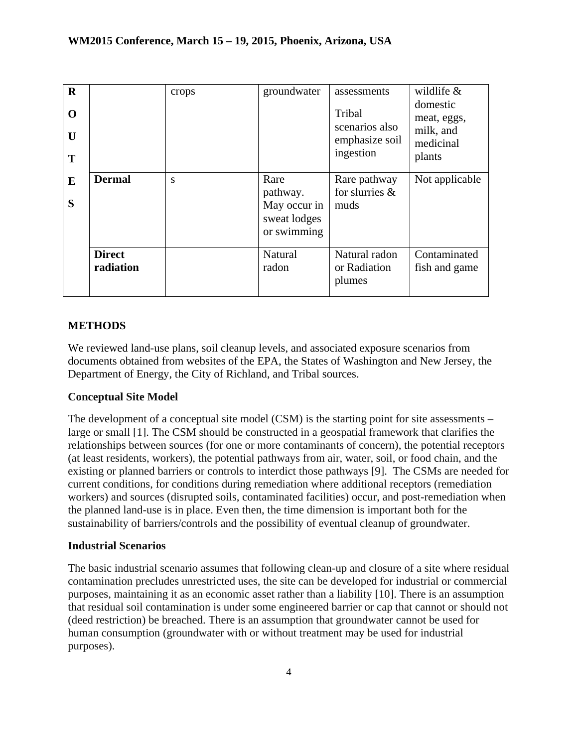| $\mathbf R$<br>O<br>U<br>T |                            | crops | groundwater                                                     | assessments<br>Tribal<br>scenarios also<br>emphasize soil<br>ingestion | wildlife $&$<br>domestic<br>meat, eggs,<br>milk, and<br>medicinal<br>plants |
|----------------------------|----------------------------|-------|-----------------------------------------------------------------|------------------------------------------------------------------------|-----------------------------------------------------------------------------|
| E<br>S                     | <b>Dermal</b>              | S     | Rare<br>pathway.<br>May occur in<br>sweat lodges<br>or swimming | Rare pathway<br>for slurries &<br>muds                                 | Not applicable                                                              |
|                            | <b>Direct</b><br>radiation |       | Natural<br>radon                                                | Natural radon<br>or Radiation<br>plumes                                | Contaminated<br>fish and game                                               |

## **METHODS**

We reviewed land-use plans, soil cleanup levels, and associated exposure scenarios from documents obtained from websites of the EPA, the States of Washington and New Jersey, the Department of Energy, the City of Richland, and Tribal sources.

## **Conceptual Site Model**

The development of a conceptual site model (CSM) is the starting point for site assessments – large or small [1]. The CSM should be constructed in a geospatial framework that clarifies the relationships between sources (for one or more contaminants of concern), the potential receptors (at least residents, workers), the potential pathways from air, water, soil, or food chain, and the existing or planned barriers or controls to interdict those pathways [9]. The CSMs are needed for current conditions, for conditions during remediation where additional receptors (remediation workers) and sources (disrupted soils, contaminated facilities) occur, and post-remediation when the planned land-use is in place. Even then, the time dimension is important both for the sustainability of barriers/controls and the possibility of eventual cleanup of groundwater.

## **Industrial Scenarios**

The basic industrial scenario assumes that following clean-up and closure of a site where residual contamination precludes unrestricted uses, the site can be developed for industrial or commercial purposes, maintaining it as an economic asset rather than a liability [10]. There is an assumption that residual soil contamination is under some engineered barrier or cap that cannot or should not (deed restriction) be breached. There is an assumption that groundwater cannot be used for human consumption (groundwater with or without treatment may be used for industrial purposes).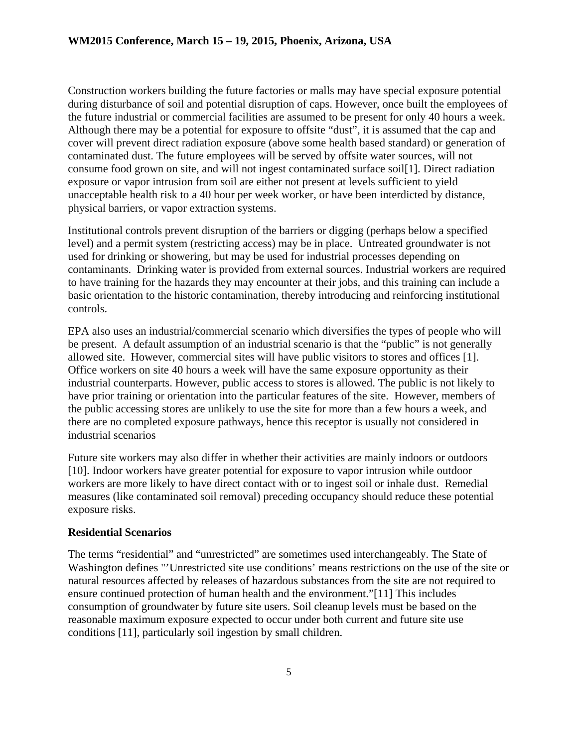Construction workers building the future factories or malls may have special exposure potential during disturbance of soil and potential disruption of caps. However, once built the employees of the future industrial or commercial facilities are assumed to be present for only 40 hours a week. Although there may be a potential for exposure to offsite "dust", it is assumed that the cap and cover will prevent direct radiation exposure (above some health based standard) or generation of contaminated dust. The future employees will be served by offsite water sources, will not consume food grown on site, and will not ingest contaminated surface soil[1]. Direct radiation exposure or vapor intrusion from soil are either not present at levels sufficient to yield unacceptable health risk to a 40 hour per week worker, or have been interdicted by distance, physical barriers, or vapor extraction systems.

Institutional controls prevent disruption of the barriers or digging (perhaps below a specified level) and a permit system (restricting access) may be in place. Untreated groundwater is not used for drinking or showering, but may be used for industrial processes depending on contaminants. Drinking water is provided from external sources. Industrial workers are required to have training for the hazards they may encounter at their jobs, and this training can include a basic orientation to the historic contamination, thereby introducing and reinforcing institutional controls.

EPA also uses an industrial/commercial scenario which diversifies the types of people who will be present. A default assumption of an industrial scenario is that the "public" is not generally allowed site. However, commercial sites will have public visitors to stores and offices [1]. Office workers on site 40 hours a week will have the same exposure opportunity as their industrial counterparts. However, public access to stores is allowed. The public is not likely to have prior training or orientation into the particular features of the site. However, members of the public accessing stores are unlikely to use the site for more than a few hours a week, and there are no completed exposure pathways, hence this receptor is usually not considered in industrial scenarios

Future site workers may also differ in whether their activities are mainly indoors or outdoors [10]. Indoor workers have greater potential for exposure to vapor intrusion while outdoor workers are more likely to have direct contact with or to ingest soil or inhale dust. Remedial measures (like contaminated soil removal) preceding occupancy should reduce these potential exposure risks.

#### **Residential Scenarios**

The terms "residential" and "unrestricted" are sometimes used interchangeably. The State of Washington defines "'Unrestricted site use conditions' means restrictions on the use of the site or natural resources affected by releases of hazardous substances from the site are not required to ensure continued protection of human health and the environment."[11] This includes consumption of groundwater by future site users. Soil cleanup levels must be based on the reasonable maximum exposure expected to occur under both current and future site use conditions [11], particularly soil ingestion by small children.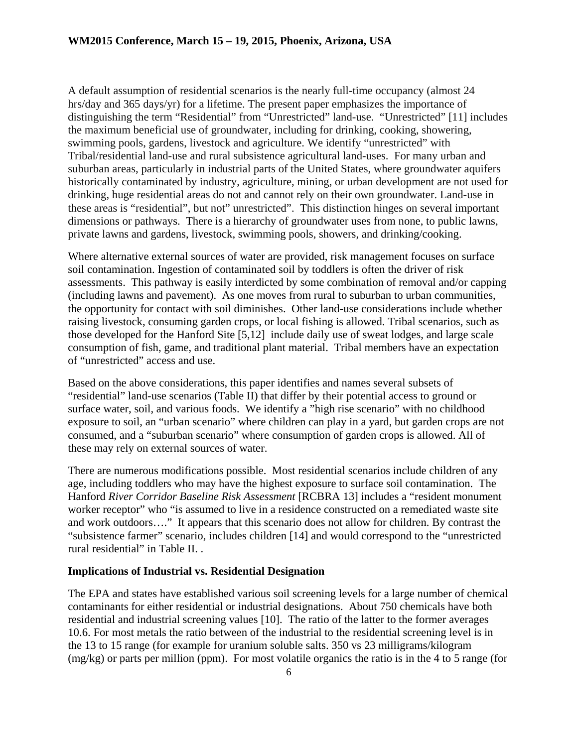A default assumption of residential scenarios is the nearly full-time occupancy (almost 24 hrs/day and 365 days/yr) for a lifetime. The present paper emphasizes the importance of distinguishing the term "Residential" from "Unrestricted" land-use. "Unrestricted" [11] includes the maximum beneficial use of groundwater, including for drinking, cooking, showering, swimming pools, gardens, livestock and agriculture. We identify "unrestricted" with Tribal/residential land-use and rural subsistence agricultural land-uses. For many urban and suburban areas, particularly in industrial parts of the United States, where groundwater aquifers historically contaminated by industry, agriculture, mining, or urban development are not used for drinking, huge residential areas do not and cannot rely on their own groundwater. Land-use in these areas is "residential", but not" unrestricted". This distinction hinges on several important dimensions or pathways. There is a hierarchy of groundwater uses from none, to public lawns, private lawns and gardens, livestock, swimming pools, showers, and drinking/cooking.

Where alternative external sources of water are provided, risk management focuses on surface soil contamination. Ingestion of contaminated soil by toddlers is often the driver of risk assessments. This pathway is easily interdicted by some combination of removal and/or capping (including lawns and pavement). As one moves from rural to suburban to urban communities, the opportunity for contact with soil diminishes. Other land-use considerations include whether raising livestock, consuming garden crops, or local fishing is allowed. Tribal scenarios, such as those developed for the Hanford Site [5,12] include daily use of sweat lodges, and large scale consumption of fish, game, and traditional plant material. Tribal members have an expectation of "unrestricted" access and use.

Based on the above considerations, this paper identifies and names several subsets of "residential" land-use scenarios (Table II) that differ by their potential access to ground or surface water, soil, and various foods. We identify a "high rise scenario" with no childhood exposure to soil, an "urban scenario" where children can play in a yard, but garden crops are not consumed, and a "suburban scenario" where consumption of garden crops is allowed. All of these may rely on external sources of water.

There are numerous modifications possible. Most residential scenarios include children of any age, including toddlers who may have the highest exposure to surface soil contamination. The Hanford *River Corridor Baseline Risk Assessment* [RCBRA 13] includes a "resident monument worker receptor" who "is assumed to live in a residence constructed on a remediated waste site and work outdoors…." It appears that this scenario does not allow for children. By contrast the "subsistence farmer" scenario, includes children [14] and would correspond to the "unrestricted rural residential" in Table II. .

#### **Implications of Industrial vs. Residential Designation**

The EPA and states have established various soil screening levels for a large number of chemical contaminants for either residential or industrial designations. About 750 chemicals have both residential and industrial screening values [10]. The ratio of the latter to the former averages 10.6. For most metals the ratio between of the industrial to the residential screening level is in the 13 to 15 range (for example for uranium soluble salts. 350 vs 23 milligrams/kilogram (mg/kg) or parts per million (ppm). For most volatile organics the ratio is in the 4 to 5 range (for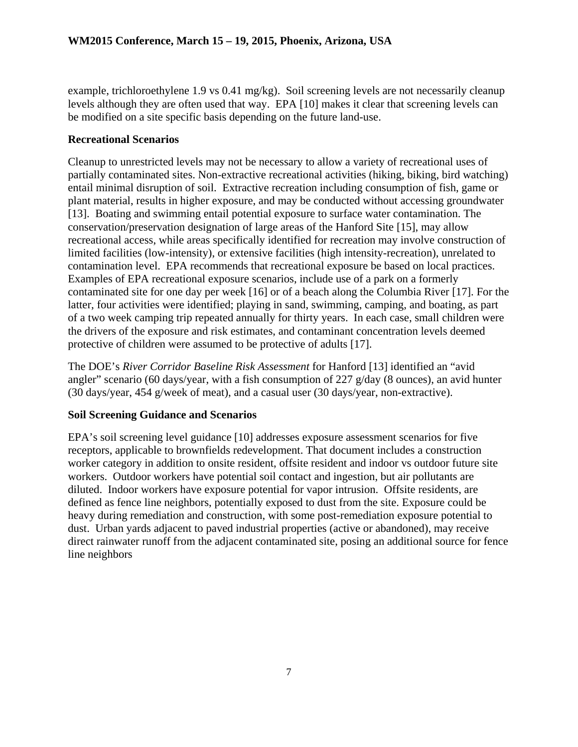example, trichloroethylene 1.9 vs 0.41 mg/kg). Soil screening levels are not necessarily cleanup levels although they are often used that way. EPA [10] makes it clear that screening levels can be modified on a site specific basis depending on the future land-use.

#### **Recreational Scenarios**

Cleanup to unrestricted levels may not be necessary to allow a variety of recreational uses of partially contaminated sites. Non-extractive recreational activities (hiking, biking, bird watching) entail minimal disruption of soil. Extractive recreation including consumption of fish, game or plant material, results in higher exposure, and may be conducted without accessing groundwater [13]. Boating and swimming entail potential exposure to surface water contamination. The conservation/preservation designation of large areas of the Hanford Site [15], may allow recreational access, while areas specifically identified for recreation may involve construction of limited facilities (low-intensity), or extensive facilities (high intensity-recreation), unrelated to contamination level. EPA recommends that recreational exposure be based on local practices. Examples of EPA recreational exposure scenarios, include use of a park on a formerly contaminated site for one day per week [16] or of a beach along the Columbia River [17]. For the latter, four activities were identified; playing in sand, swimming, camping, and boating, as part of a two week camping trip repeated annually for thirty years. In each case, small children were the drivers of the exposure and risk estimates, and contaminant concentration levels deemed protective of children were assumed to be protective of adults [17].

The DOE's *River Corridor Baseline Risk Assessment* for Hanford [13] identified an "avid angler" scenario (60 days/year, with a fish consumption of 227  $g$ /day (8 ounces), an avid hunter (30 days/year, 454 g/week of meat), and a casual user (30 days/year, non-extractive).

## **Soil Screening Guidance and Scenarios**

EPA's soil screening level guidance [10] addresses exposure assessment scenarios for five receptors, applicable to brownfields redevelopment. That document includes a construction worker category in addition to onsite resident, offsite resident and indoor vs outdoor future site workers. Outdoor workers have potential soil contact and ingestion, but air pollutants are diluted. Indoor workers have exposure potential for vapor intrusion. Offsite residents, are defined as fence line neighbors, potentially exposed to dust from the site. Exposure could be heavy during remediation and construction, with some post-remediation exposure potential to dust. Urban yards adjacent to paved industrial properties (active or abandoned), may receive direct rainwater runoff from the adjacent contaminated site, posing an additional source for fence line neighbors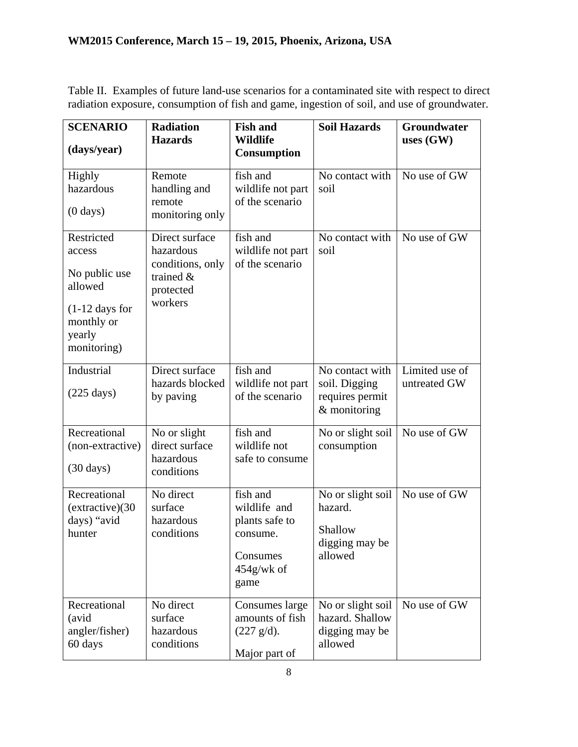Table II. Examples of future land-use scenarios for a contaminated site with respect to direct radiation exposure, consumption of fish and game, ingestion of soil, and use of groundwater.

| <b>SCENARIO</b><br>(days/year)                                                                              | <b>Radiation</b><br><b>Hazards</b>                                                      | <b>Fish and</b><br><b>Wildlife</b><br><b>Consumption</b>                                    | <b>Soil Hazards</b>                                                   | Groundwater<br>uses $(GW)$     |
|-------------------------------------------------------------------------------------------------------------|-----------------------------------------------------------------------------------------|---------------------------------------------------------------------------------------------|-----------------------------------------------------------------------|--------------------------------|
| Highly<br>hazardous<br>$(0 \text{ days})$                                                                   | Remote<br>handling and<br>remote<br>monitoring only                                     | fish and<br>wildlife not part<br>of the scenario                                            | No contact with<br>soil                                               | No use of GW                   |
| Restricted<br>access<br>No public use<br>allowed<br>$(1-12$ days for<br>monthly or<br>yearly<br>monitoring) | Direct surface<br>hazardous<br>conditions, only<br>trained $\&$<br>protected<br>workers | fish and<br>wildlife not part<br>of the scenario                                            | No contact with<br>soil                                               | No use of GW                   |
| Industrial<br>$(225 \text{ days})$                                                                          | Direct surface<br>hazards blocked<br>by paving                                          | fish and<br>wildlife not part<br>of the scenario                                            | No contact with<br>soil. Digging<br>requires permit<br>$&$ monitoring | Limited use of<br>untreated GW |
| Recreational<br>(non-extractive)<br>$(30 \text{ days})$                                                     | No or slight<br>direct surface<br>hazardous<br>conditions                               | fish and<br>wildlife not<br>safe to consume                                                 | No or slight soil<br>consumption                                      | No use of GW                   |
| Recreational<br>(extractive)(30)<br>days) "avid<br>hunter                                                   | No direct<br>surface<br>hazardous<br>conditions                                         | fish and<br>wildlife and<br>plants safe to<br>consume.<br>Consumes<br>$454$ g/wk of<br>game | No or slight soil<br>hazard.<br>Shallow<br>digging may be<br>allowed  | No use of GW                   |
| Recreational<br>(avid<br>angler/fisher)<br>60 days                                                          | No direct<br>surface<br>hazardous<br>conditions                                         | Consumes large<br>amounts of fish<br>$(227 \text{ g/d}).$<br>Major part of                  | No or slight soil<br>hazard. Shallow<br>digging may be<br>allowed     | No use of GW                   |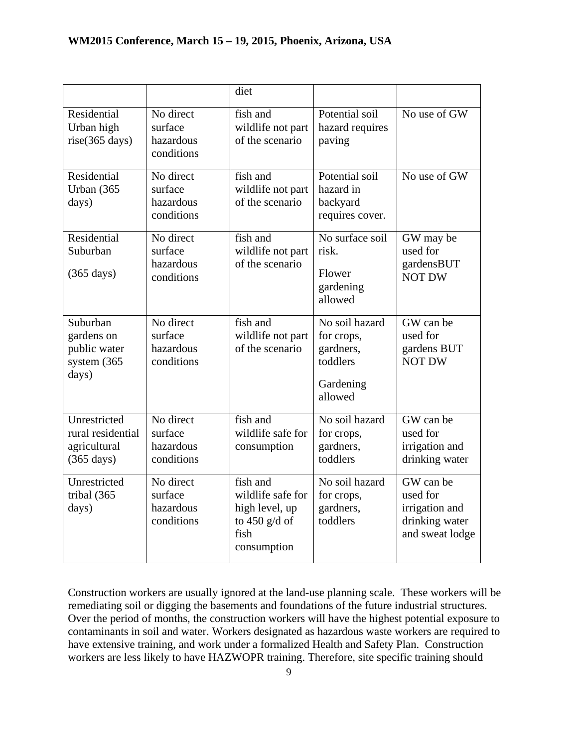|                                                                           |                                                 | diet                                                                                      |                                                                               |                                                                              |
|---------------------------------------------------------------------------|-------------------------------------------------|-------------------------------------------------------------------------------------------|-------------------------------------------------------------------------------|------------------------------------------------------------------------------|
| Residential<br>Urban high<br>rise(365 days)                               | No direct<br>surface<br>hazardous<br>conditions | fish and<br>wildlife not part<br>of the scenario                                          | Potential soil<br>hazard requires<br>paving                                   | No use of GW                                                                 |
| Residential<br>Urban (365<br>days)                                        | No direct<br>surface<br>hazardous<br>conditions | fish and<br>wildlife not part<br>of the scenario                                          | Potential soil<br>hazard in<br>backyard<br>requires cover.                    | No use of GW                                                                 |
| Residential<br>Suburban<br>$(365 \text{ days})$                           | No direct<br>surface<br>hazardous<br>conditions | fish and<br>wildlife not part<br>of the scenario                                          | No surface soil<br>risk.<br>Flower<br>gardening<br>allowed                    | GW may be<br>used for<br>gardensBUT<br><b>NOT DW</b>                         |
| Suburban<br>gardens on<br>public water<br>system $(365)$<br>days)         | No direct<br>surface<br>hazardous<br>conditions | fish and<br>wildlife not part<br>of the scenario                                          | No soil hazard<br>for crops,<br>gardners,<br>toddlers<br>Gardening<br>allowed | GW can be<br>used for<br>gardens BUT<br><b>NOT DW</b>                        |
| Unrestricted<br>rural residential<br>agricultural<br>$(365 \text{ days})$ | No direct<br>surface<br>hazardous<br>conditions | fish and<br>wildlife safe for<br>consumption                                              | No soil hazard<br>for crops,<br>gardners,<br>toddlers                         | GW can be<br>used for<br>irrigation and<br>drinking water                    |
| Unrestricted<br>tribal (365<br>days)                                      | No direct<br>surface<br>hazardous<br>conditions | fish and<br>wildlife safe for<br>high level, up<br>to $450$ g/d of<br>fish<br>consumption | No soil hazard<br>for crops,<br>gardners,<br>toddlers                         | GW can be<br>used for<br>irrigation and<br>drinking water<br>and sweat lodge |

Construction workers are usually ignored at the land-use planning scale. These workers will be remediating soil or digging the basements and foundations of the future industrial structures. Over the period of months, the construction workers will have the highest potential exposure to contaminants in soil and water. Workers designated as hazardous waste workers are required to have extensive training, and work under a formalized Health and Safety Plan. Construction workers are less likely to have HAZWOPR training. Therefore, site specific training should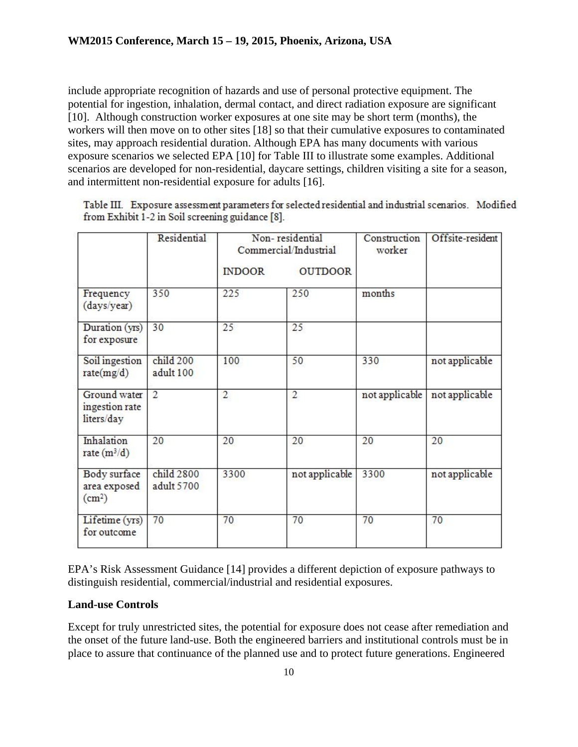include appropriate recognition of hazards and use of personal protective equipment. The potential for ingestion, inhalation, dermal contact, and direct radiation exposure are significant [10]. Although construction worker exposures at one site may be short term (months), the workers will then move on to other sites [18] so that their cumulative exposures to contaminated sites, may approach residential duration. Although EPA has many documents with various exposure scenarios we selected EPA [10] for Table III to illustrate some examples. Additional scenarios are developed for non-residential, daycare settings, children visiting a site for a season, and intermittent non-residential exposure for adults [16].

Table III. Exposure assessment parameters for selected residential and industrial scenarios. Modified from Exhibit 1-2 in Soil screening guidance [8].

|                                                    | Residential              | Non-residential<br>Commercial/Industrial |                | Construction<br>worker | Offsite-resident |
|----------------------------------------------------|--------------------------|------------------------------------------|----------------|------------------------|------------------|
|                                                    |                          | <b>INDOOR</b>                            | <b>OUTDOOR</b> |                        |                  |
| Frequency<br>(days/year)                           | 350                      | 225                                      | 250            | months                 |                  |
| Duration (yrs)<br>for exposure                     | 30                       | 25                                       | 25             |                        |                  |
| Soil ingestion<br>rate(mg/d)                       | child 200<br>adult 100   | 100                                      | 50             | 330                    | not applicable   |
| Ground water<br>ingestion rate<br>liters/day       | 2                        | $\overline{c}$                           | 2              | not applicable         | not applicable   |
| Inhalation<br>rate $(m^3/d)$                       | 20                       | 20                                       | 20             | 20                     | 20               |
| Body surface<br>area exposed<br>(cm <sup>2</sup> ) | child 2800<br>adult 5700 | 3300                                     | not applicable | 3300                   | not applicable   |
| Lifetime (yrs)<br>for outcome                      | 70                       | 70                                       | 70             | 70                     | 70               |

EPA's Risk Assessment Guidance [14] provides a different depiction of exposure pathways to distinguish residential, commercial/industrial and residential exposures.

## **Land-use Controls**

Except for truly unrestricted sites, the potential for exposure does not cease after remediation and the onset of the future land-use. Both the engineered barriers and institutional controls must be in place to assure that continuance of the planned use and to protect future generations. Engineered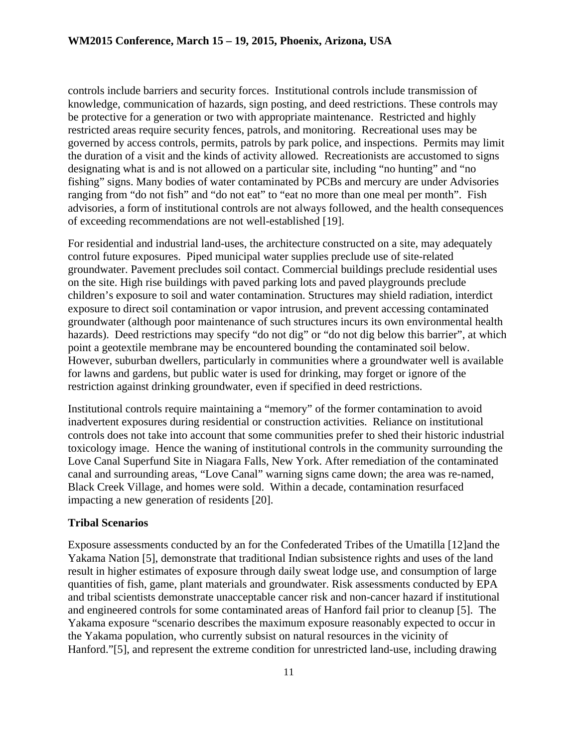controls include barriers and security forces. Institutional controls include transmission of knowledge, communication of hazards, sign posting, and deed restrictions. These controls may be protective for a generation or two with appropriate maintenance. Restricted and highly restricted areas require security fences, patrols, and monitoring. Recreational uses may be governed by access controls, permits, patrols by park police, and inspections. Permits may limit the duration of a visit and the kinds of activity allowed. Recreationists are accustomed to signs designating what is and is not allowed on a particular site, including "no hunting" and "no fishing" signs. Many bodies of water contaminated by PCBs and mercury are under Advisories ranging from "do not fish" and "do not eat" to "eat no more than one meal per month". Fish advisories, a form of institutional controls are not always followed, and the health consequences of exceeding recommendations are not well-established [19].

For residential and industrial land-uses, the architecture constructed on a site, may adequately control future exposures. Piped municipal water supplies preclude use of site-related groundwater. Pavement precludes soil contact. Commercial buildings preclude residential uses on the site. High rise buildings with paved parking lots and paved playgrounds preclude children's exposure to soil and water contamination. Structures may shield radiation, interdict exposure to direct soil contamination or vapor intrusion, and prevent accessing contaminated groundwater (although poor maintenance of such structures incurs its own environmental health hazards). Deed restrictions may specify "do not dig" or "do not dig below this barrier", at which point a geotextile membrane may be encountered bounding the contaminated soil below. However, suburban dwellers, particularly in communities where a groundwater well is available for lawns and gardens, but public water is used for drinking, may forget or ignore of the restriction against drinking groundwater, even if specified in deed restrictions.

Institutional controls require maintaining a "memory" of the former contamination to avoid inadvertent exposures during residential or construction activities. Reliance on institutional controls does not take into account that some communities prefer to shed their historic industrial toxicology image. Hence the waning of institutional controls in the community surrounding the Love Canal Superfund Site in Niagara Falls, New York. After remediation of the contaminated canal and surrounding areas, "Love Canal" warning signs came down; the area was re-named, Black Creek Village, and homes were sold. Within a decade, contamination resurfaced impacting a new generation of residents [20].

#### **Tribal Scenarios**

Exposure assessments conducted by an for the Confederated Tribes of the Umatilla [12]and the Yakama Nation [5], demonstrate that traditional Indian subsistence rights and uses of the land result in higher estimates of exposure through daily sweat lodge use, and consumption of large quantities of fish, game, plant materials and groundwater. Risk assessments conducted by EPA and tribal scientists demonstrate unacceptable cancer risk and non-cancer hazard if institutional and engineered controls for some contaminated areas of Hanford fail prior to cleanup [5]. The Yakama exposure "scenario describes the maximum exposure reasonably expected to occur in the Yakama population, who currently subsist on natural resources in the vicinity of Hanford."[5], and represent the extreme condition for unrestricted land-use, including drawing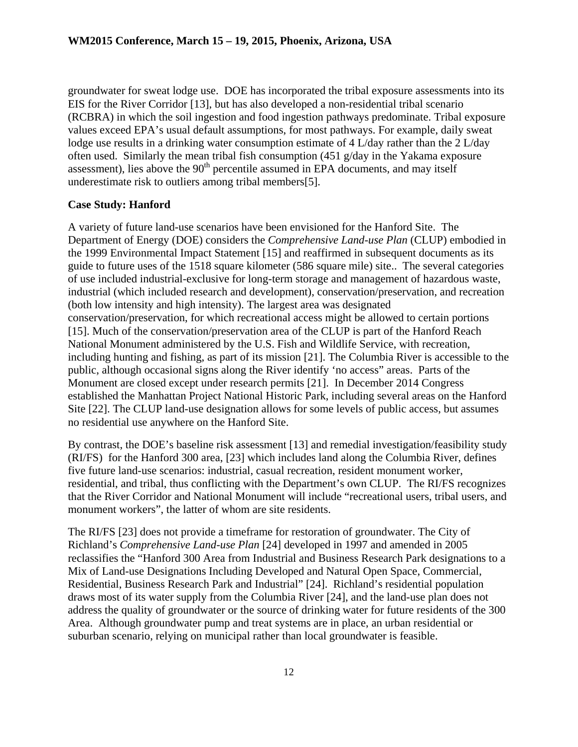groundwater for sweat lodge use. DOE has incorporated the tribal exposure assessments into its EIS for the River Corridor [13], but has also developed a non-residential tribal scenario (RCBRA) in which the soil ingestion and food ingestion pathways predominate. Tribal exposure values exceed EPA's usual default assumptions, for most pathways. For example, daily sweat lodge use results in a drinking water consumption estimate of 4 L/day rather than the 2 L/day often used. Similarly the mean tribal fish consumption (451 g/day in the Yakama exposure assessment), lies above the  $90<sup>th</sup>$  percentile assumed in EPA documents, and may itself underestimate risk to outliers among tribal members[5].

#### **Case Study: Hanford**

A variety of future land-use scenarios have been envisioned for the Hanford Site. The Department of Energy (DOE) considers the *Comprehensive Land-use Plan* (CLUP) embodied in the 1999 Environmental Impact Statement [15] and reaffirmed in subsequent documents as its guide to future uses of the 1518 square kilometer (586 square mile) site.. The several categories of use included industrial-exclusive for long-term storage and management of hazardous waste, industrial (which included research and development), conservation/preservation, and recreation (both low intensity and high intensity). The largest area was designated conservation/preservation, for which recreational access might be allowed to certain portions [15]. Much of the conservation/preservation area of the CLUP is part of the Hanford Reach National Monument administered by the U.S. Fish and Wildlife Service, with recreation, including hunting and fishing, as part of its mission [21]. The Columbia River is accessible to the public, although occasional signs along the River identify 'no access" areas. Parts of the Monument are closed except under research permits [21]. In December 2014 Congress established the Manhattan Project National Historic Park, including several areas on the Hanford Site [22]. The CLUP land-use designation allows for some levels of public access, but assumes no residential use anywhere on the Hanford Site.

By contrast, the DOE's baseline risk assessment [13] and remedial investigation/feasibility study (RI/FS) for the Hanford 300 area, [23] which includes land along the Columbia River, defines five future land-use scenarios: industrial, casual recreation, resident monument worker, residential, and tribal, thus conflicting with the Department's own CLUP. The RI/FS recognizes that the River Corridor and National Monument will include "recreational users, tribal users, and monument workers", the latter of whom are site residents.

The RI/FS [23] does not provide a timeframe for restoration of groundwater. The City of Richland's *Comprehensive Land-use Plan* [24] developed in 1997 and amended in 2005 reclassifies the "Hanford 300 Area from Industrial and Business Research Park designations to a Mix of Land-use Designations Including Developed and Natural Open Space, Commercial, Residential, Business Research Park and Industrial" [24]. Richland's residential population draws most of its water supply from the Columbia River [24], and the land-use plan does not address the quality of groundwater or the source of drinking water for future residents of the 300 Area. Although groundwater pump and treat systems are in place, an urban residential or suburban scenario, relying on municipal rather than local groundwater is feasible.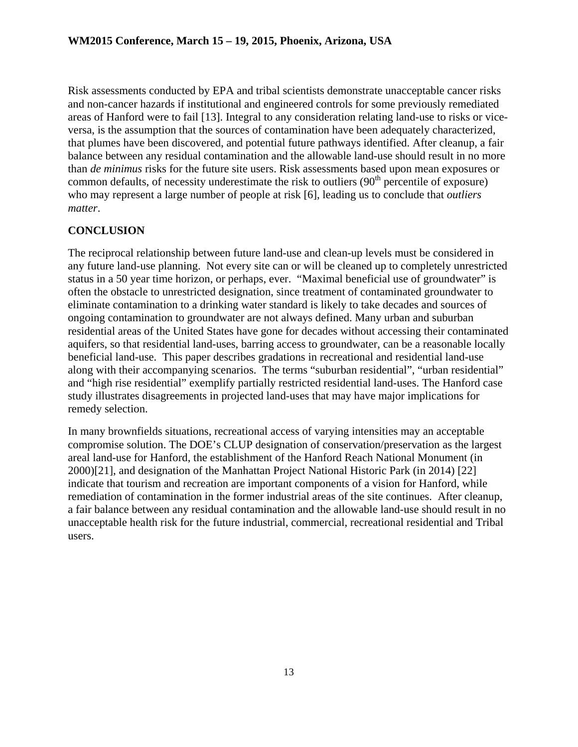Risk assessments conducted by EPA and tribal scientists demonstrate unacceptable cancer risks and non-cancer hazards if institutional and engineered controls for some previously remediated areas of Hanford were to fail [13]. Integral to any consideration relating land-use to risks or viceversa, is the assumption that the sources of contamination have been adequately characterized, that plumes have been discovered, and potential future pathways identified. After cleanup, a fair balance between any residual contamination and the allowable land-use should result in no more than *de minimus* risks for the future site users. Risk assessments based upon mean exposures or common defaults, of necessity underestimate the risk to outliers  $(90<sup>th</sup>$  percentile of exposure) who may represent a large number of people at risk [6], leading us to conclude that *outliers matter*.

# **CONCLUSION**

The reciprocal relationship between future land-use and clean-up levels must be considered in any future land-use planning. Not every site can or will be cleaned up to completely unrestricted status in a 50 year time horizon, or perhaps, ever. "Maximal beneficial use of groundwater" is often the obstacle to unrestricted designation, since treatment of contaminated groundwater to eliminate contamination to a drinking water standard is likely to take decades and sources of ongoing contamination to groundwater are not always defined. Many urban and suburban residential areas of the United States have gone for decades without accessing their contaminated aquifers, so that residential land-uses, barring access to groundwater, can be a reasonable locally beneficial land-use. This paper describes gradations in recreational and residential land-use along with their accompanying scenarios. The terms "suburban residential", "urban residential" and "high rise residential" exemplify partially restricted residential land-uses. The Hanford case study illustrates disagreements in projected land-uses that may have major implications for remedy selection.

In many brownfields situations, recreational access of varying intensities may an acceptable compromise solution. The DOE's CLUP designation of conservation/preservation as the largest areal land-use for Hanford, the establishment of the Hanford Reach National Monument (in 2000)[21], and designation of the Manhattan Project National Historic Park (in 2014) [22] indicate that tourism and recreation are important components of a vision for Hanford, while remediation of contamination in the former industrial areas of the site continues. After cleanup, a fair balance between any residual contamination and the allowable land-use should result in no unacceptable health risk for the future industrial, commercial, recreational residential and Tribal users.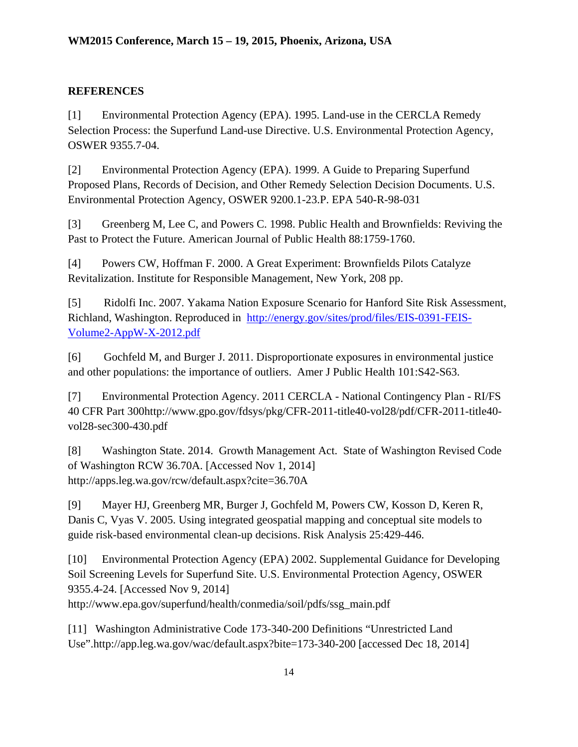# **REFERENCES**

[1] Environmental Protection Agency (EPA). 1995. Land-use in the CERCLA Remedy Selection Process: the Superfund Land-use Directive. U.S. Environmental Protection Agency, OSWER 9355.7-04.

[2] Environmental Protection Agency (EPA). 1999. A Guide to Preparing Superfund Proposed Plans, Records of Decision, and Other Remedy Selection Decision Documents. U.S. Environmental Protection Agency, OSWER 9200.1-23.P. EPA 540-R-98-031

[3] Greenberg M, Lee C, and Powers C. 1998. Public Health and Brownfields: Reviving the Past to Protect the Future. American Journal of Public Health 88:1759-1760.

[4] Powers CW, Hoffman F. 2000. A Great Experiment: Brownfields Pilots Catalyze Revitalization. Institute for Responsible Management, New York, 208 pp.

[5] Ridolfi Inc. 2007. Yakama Nation Exposure Scenario for Hanford Site Risk Assessment, Richland, Washington. Reproduced in [http://energy.gov/sites/prod/files/EIS-0391-FEIS-](http://energy.gov/sites/prod/files/EIS-0391-FEIS-Volume2-AppW-X-2012.pdf)[Volume2-AppW-X-2012.pdf](http://energy.gov/sites/prod/files/EIS-0391-FEIS-Volume2-AppW-X-2012.pdf)

[6] Gochfeld M, and Burger J. 2011. Disproportionate exposures in environmental justice and other populations: the importance of outliers. Amer J Public Health 101:S42-S63.

[7] Environmental Protection Agency. 2011 CERCLA - National Contingency Plan - RI/FS 40 CFR Part 300http://www.gpo.gov/fdsys/pkg/CFR-2011-title40-vol28/pdf/CFR-2011-title40 vol28-sec300-430.pdf

[8] Washington State. 2014. Growth Management Act. State of Washington Revised Code of Washington RCW 36.70A. [Accessed Nov 1, 2014] http://apps.leg.wa.gov/rcw/default.aspx?cite=36.70A

[9] Mayer HJ, Greenberg MR, Burger J, Gochfeld M, Powers CW, Kosson D, Keren R, Danis C, Vyas V. 2005. Using integrated geospatial mapping and conceptual site models to guide risk-based environmental clean-up decisions. Risk Analysis 25:429-446.

[10] Environmental Protection Agency (EPA) 2002. Supplemental Guidance for Developing Soil Screening Levels for Superfund Site. U.S. Environmental Protection Agency, OSWER 9355.4-24. [Accessed Nov 9, 2014] http://www.epa.gov/superfund/health/conmedia/soil/pdfs/ssg\_main.pdf

[11] Washington Administrative Code 173-340-200 Definitions "Unrestricted Land Use".http://app.leg.wa.gov/wac/default.aspx?bite=173-340-200 [accessed Dec 18, 2014]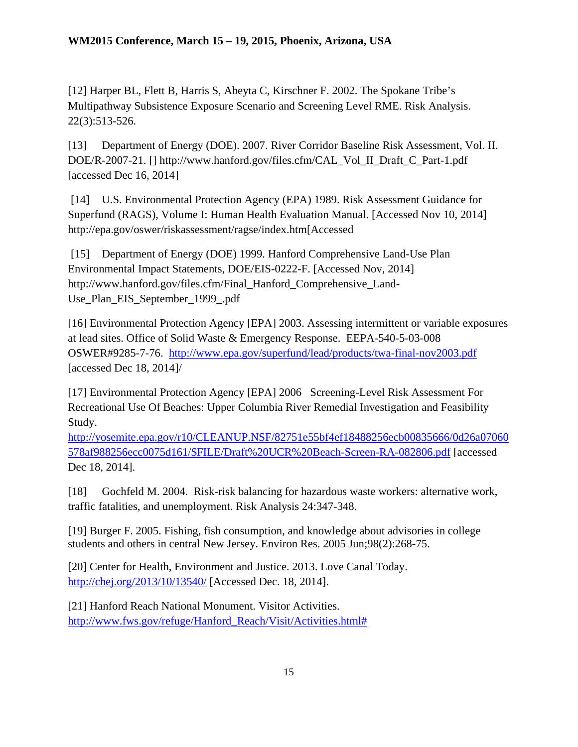[12] Harper BL, Flett B, Harris S, Abeyta C, Kirschner F. 2002. The Spokane Tribe's Multipathway Subsistence Exposure Scenario and Screening Level RME. Risk Analysis. 22(3):513-526.

[13] Department of Energy (DOE). 2007. River Corridor Baseline Risk Assessment, Vol. II. DOE/R-2007-21. [] http://www.hanford.gov/files.cfm/CAL\_Vol\_II\_Draft\_C\_Part-1.pdf [accessed Dec 16, 2014]

[14] U.S. Environmental Protection Agency (EPA) 1989. Risk Assessment Guidance for Superfund (RAGS), Volume I: Human Health Evaluation Manual. [Accessed Nov 10, 2014] http://epa.gov/oswer/riskassessment/ragse/index.htm[Accessed

[15] Department of Energy (DOE) 1999. Hanford Comprehensive Land-Use Plan Environmental Impact Statements, DOE/EIS-0222-F. [Accessed Nov, 2014] http://www.hanford.gov/files.cfm/Final\_Hanford\_Comprehensive\_Land-Use\_Plan\_EIS\_September\_1999\_.pdf

[16] Environmental Protection Agency [EPA] 2003. Assessing intermittent or variable exposures at lead sites. Office of Solid Waste & Emergency Response. EEPA-540-5-03-008 OSWER#9285-7-76. <http://www.epa.gov/superfund/lead/products/twa-final-nov2003.pdf> [accessed Dec 18, 2014]/

[17] Environmental Protection Agency [EPA] 2006 Screening-Level Risk Assessment For Recreational Use Of Beaches: Upper Columbia River Remedial Investigation and Feasibility Study.

[http://yosemite.epa.gov/r10/CLEANUP.NSF/82751e55bf4ef18488256ecb00835666/0d26a07060](http://yosemite.epa.gov/r10/CLEANUP.NSF/82751e55bf4ef18488256ecb00835666/0d26a07060578af988256ecc0075d161/$FILE/Draft%20UCR%20Beach-Screen-RA-082806.pdf) [578af988256ecc0075d161/\\$FILE/Draft%20UCR%20Beach-Screen-RA-082806.pdf](http://yosemite.epa.gov/r10/CLEANUP.NSF/82751e55bf4ef18488256ecb00835666/0d26a07060578af988256ecc0075d161/$FILE/Draft%20UCR%20Beach-Screen-RA-082806.pdf) [accessed Dec 18, 2014].

[18] Gochfeld M. 2004. Risk-risk balancing for hazardous waste workers: alternative work, traffic fatalities, and unemployment. Risk Analysis 24:347-348.

[19] Burger F. 2005. Fishing, fish consumption, and knowledge about advisories in college students and others in central New Jersey. Environ Res. 2005 Jun;98(2):268-75.

[20] Center for Health, Environment and Justice. 2013. Love Canal Today. <http://chej.org/2013/10/13540/> [Accessed Dec. 18, 2014].

[21] Hanford Reach National Monument. Visitor Activities. [http://www.fws.gov/refuge/Hanford\\_Reach/Visit/Activities.html#](http://www.fws.gov/refuge/Hanford_Reach/Visit/Activities.html)